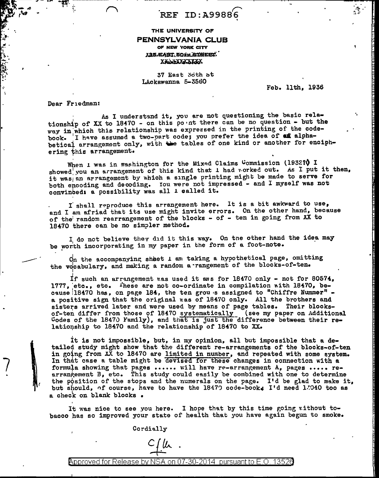$REF$  ID:A99886

## THE UNIVERSITY OF PENNSYLVANIA CLUB OF NEW YORK CITY X35/EAST 5014 STREET. XXXXXXXXXXX

37 East 36th st LAckawanna 5-3560

Feb. 11th, 1936

Dear Friedman:

As I understand it, you are not questioning the basic relationship of XX to 18470 - on this point there can be no question - but the way in which this relationship was expressed in the printing of the codebook. I have assumed a two-part code; you prefer the idea of an alphabetical arrangement only, with the tables of one kind or another for enciphering this arrangement.

When I was in washington for the Mixed Claims Commission (1932?) I showed you an arrangement of this kind that I had worked out. As I put it then, it was an arrangement by which a single printing might be made to serve for both encoding and decoding. You were not impressed - and I myself was not convinced: a possibility was all 1 called it.

I shall reproduce this arrangement here. It is a bit awkward to use, and I am afriad that its use might invite errors. On the other hand, because of the random rearrangement of the blocks - of - ten in going from XX to 18470 there can be no simpler method.

I do not believe they did it this way. On the other hand the idea may be worth incorporating in my paper in the form of a foot-note.

On the accompanying sheet 1 am taking a hypothetical page, omitting the vocabulary, and making a random a rangement of the blocks-of-ten.

If such an arrangement was used it aws for 18470 only - not for 80574, 1777, etc., etc. These are not co-ordinate in compilation with 18470, because 18470 has, on page 184, the ten grou is assigned to "Chiffre Nummer" a positive sign that the original was of 18470 only. All the brothers and sisters arrived later and were used by means of page tables. Their blocksof-ten differ from those of 18470 systematically (see my paper on Additional Codes of the 18470 Family), and that is just the difference between their relationship to 18470 and the relationship of 18470 to XX.

It is not impossible, but, in my opinion, all but impossible that a detailed study might show that the different re-arrangements of the blocks-of-ten in going from  $X\overline{X}$  to 18470 are limited in number, and repeated with some system. In that case a table might be devised for these changes in connection with a formula showing that pages ...... will have re-arrangement A, pages ..... rearrangement B, etc. This study could easily be combined with one to determine the position of the stops and the numerals on the page. I'd be glad to make it, but should, of course, have to have the 18479 code-book. I'd need 1.040 too as a check on blank blocks.

It was nice to see you here. I hope that by this time going without tobacco has so improved your state of health that you have again begun to smoke.

Cordially

 $C/\mu$ .

Approved for Release by NSA on 07-30-2014 pursuant to E.O.